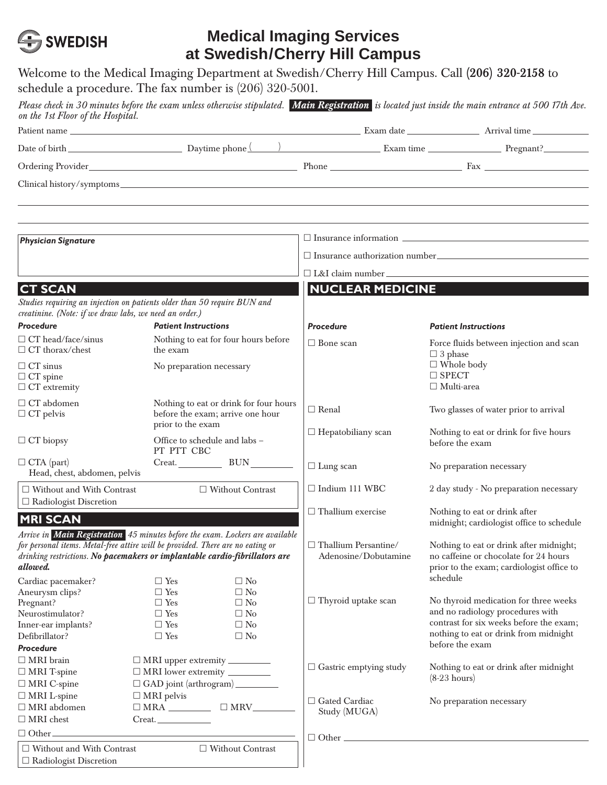

## **Medical Imaging Services at Swedish/Cherry Hill Campus**

| schedule a procedure. The fax number is (206) 320-5001.                                                                                                                                                                                                    |                                                        |                                                                            |                                                                                                                                                                                                  | Welcome to the Medical Imaging Department at Swedish/Cherry Hill Campus. Call (206) 320-2158 to                                                                                                                               |  |  |
|------------------------------------------------------------------------------------------------------------------------------------------------------------------------------------------------------------------------------------------------------------|--------------------------------------------------------|----------------------------------------------------------------------------|--------------------------------------------------------------------------------------------------------------------------------------------------------------------------------------------------|-------------------------------------------------------------------------------------------------------------------------------------------------------------------------------------------------------------------------------|--|--|
| on the 1st Floor of the Hospital.                                                                                                                                                                                                                          |                                                        |                                                                            |                                                                                                                                                                                                  | Please check in 30 minutes before the exam unless otherwise stipulated. Main Registration is located just inside the main entrance at 500 17th Ave.                                                                           |  |  |
|                                                                                                                                                                                                                                                            |                                                        |                                                                            |                                                                                                                                                                                                  |                                                                                                                                                                                                                               |  |  |
|                                                                                                                                                                                                                                                            |                                                        |                                                                            |                                                                                                                                                                                                  | Date of birth Pregnant? Daytime phone ( ) Exam time Exam time Pregnant? Exam time Pregnant? Exam time Pregnant? Pregnant? Exam time Pregnant? Exam time Pregnant? Pregnant? Pregnant? Pregnant? Pregnant? Pregnant? Pregnant? |  |  |
|                                                                                                                                                                                                                                                            |                                                        |                                                                            |                                                                                                                                                                                                  |                                                                                                                                                                                                                               |  |  |
|                                                                                                                                                                                                                                                            |                                                        |                                                                            |                                                                                                                                                                                                  |                                                                                                                                                                                                                               |  |  |
|                                                                                                                                                                                                                                                            |                                                        |                                                                            |                                                                                                                                                                                                  |                                                                                                                                                                                                                               |  |  |
| <b>Physician Signature</b>                                                                                                                                                                                                                                 |                                                        |                                                                            |                                                                                                                                                                                                  |                                                                                                                                                                                                                               |  |  |
|                                                                                                                                                                                                                                                            |                                                        |                                                                            |                                                                                                                                                                                                  |                                                                                                                                                                                                                               |  |  |
|                                                                                                                                                                                                                                                            |                                                        |                                                                            | □ L&I claim number                                                                                                                                                                               |                                                                                                                                                                                                                               |  |  |
|                                                                                                                                                                                                                                                            |                                                        |                                                                            | <b>NUCLEAR MEDICINE</b>                                                                                                                                                                          |                                                                                                                                                                                                                               |  |  |
| <b>CT SCAN</b><br>Studies requiring an injection on patients older than 50 require BUN and<br>creatinine. (Note: if we draw labs, we need an order.)                                                                                                       |                                                        |                                                                            |                                                                                                                                                                                                  |                                                                                                                                                                                                                               |  |  |
| <b>Procedure</b>                                                                                                                                                                                                                                           | <b>Patient Instructions</b>                            |                                                                            | <b>Procedure</b>                                                                                                                                                                                 | <b>Patient Instructions</b>                                                                                                                                                                                                   |  |  |
| $\Box$ CT head/face/sinus<br>$\Box$ CT thorax/chest                                                                                                                                                                                                        | the exam                                               | Nothing to eat for four hours before                                       | $\Box$ Bone scan                                                                                                                                                                                 | Force fluids between injection and scan<br>$\Box$ 3 phase                                                                                                                                                                     |  |  |
| $\Box$ CT sinus<br>$\Box$ CT spine<br>$\Box$ CT extremity                                                                                                                                                                                                  | No preparation necessary                               |                                                                            |                                                                                                                                                                                                  | $\Box$ Whole body<br>$\square$ SPECT<br>$\Box$ Multi-area                                                                                                                                                                     |  |  |
| $\Box$ CT abdomen<br>$\Box$ CT pelvis                                                                                                                                                                                                                      | prior to the exam                                      | Nothing to eat or drink for four hours<br>before the exam; arrive one hour | $\Box$ Renal                                                                                                                                                                                     | Two glasses of water prior to arrival                                                                                                                                                                                         |  |  |
| $\Box$ CT biopsy                                                                                                                                                                                                                                           | Office to schedule and labs -<br>PT PTT CBC            |                                                                            | $\Box$ Hepatobiliany scan                                                                                                                                                                        | Nothing to eat or drink for five hours<br>before the exam                                                                                                                                                                     |  |  |
| $\Box$ CTA (part)<br>Head, chest, abdomen, pelvis                                                                                                                                                                                                          |                                                        | Creat. BUN                                                                 | $\Box$ Lung scan                                                                                                                                                                                 | No preparation necessary                                                                                                                                                                                                      |  |  |
| $\Box$ Without and With Contrast<br>□ Without Contrast<br>$\Box$ Radiologist Discretion                                                                                                                                                                    |                                                        |                                                                            | $\Box$ Indium 111 WBC                                                                                                                                                                            | 2 day study - No preparation necessary                                                                                                                                                                                        |  |  |
| <b>MRI SCAN</b>                                                                                                                                                                                                                                            |                                                        |                                                                            | $\Box$ Thallium exercise                                                                                                                                                                         | Nothing to eat or drink after<br>midnight; cardiologist office to schedule                                                                                                                                                    |  |  |
| Arrive in Main Registration 45 minutes before the exam. Lockers are available<br>for personal items. Metal-free attire will be provided. There are no eating or<br>drinking restrictions. No pacemakers or implantable cardio-fibrillators are<br>allowed. |                                                        |                                                                            | $\Box$ Thallium Persantine/<br>Nothing to eat or drink after midnight;<br>no caffeine or chocolate for 24 hours<br>Adenosine/Dobutamine<br>prior to the exam; cardiologist office to<br>schedule |                                                                                                                                                                                                                               |  |  |
| Cardiac pacemaker?<br>Aneurysm clips?                                                                                                                                                                                                                      | $\Box$ Yes<br>$\Box$ Yes                               | $\Box$ No<br>$\Box$ No                                                     |                                                                                                                                                                                                  |                                                                                                                                                                                                                               |  |  |
| Pregnant?                                                                                                                                                                                                                                                  | $\Box$ Yes                                             | $\Box$ No                                                                  | $\Box$ Thyroid uptake scan                                                                                                                                                                       | No thyroid medication for three weeks                                                                                                                                                                                         |  |  |
| Neurostimulator?                                                                                                                                                                                                                                           | $\Box$ Yes                                             | $\Box$ No                                                                  |                                                                                                                                                                                                  | and no radiology procedures with                                                                                                                                                                                              |  |  |
| Inner-ear implants?                                                                                                                                                                                                                                        | $\Box$ Yes                                             | $\Box$ No                                                                  |                                                                                                                                                                                                  | contrast for six weeks before the exam;<br>nothing to eat or drink from midnight                                                                                                                                              |  |  |
| Defibrillator?                                                                                                                                                                                                                                             | $\Box$ Yes                                             | $\Box$ No                                                                  |                                                                                                                                                                                                  | before the exam                                                                                                                                                                                                               |  |  |
| <b>Procedure</b><br>$\Box$ MRI brain                                                                                                                                                                                                                       |                                                        |                                                                            |                                                                                                                                                                                                  |                                                                                                                                                                                                                               |  |  |
| □ MRI upper extremity _________<br>$\Box$ MRI T-spine<br>$\Box$ MRI lower extremity $\_\_$                                                                                                                                                                 |                                                        | $\Box$ Gastric emptying study                                              | Nothing to eat or drink after midnight                                                                                                                                                           |                                                                                                                                                                                                                               |  |  |
| $\Box$ MRI C-spine                                                                                                                                                                                                                                         | $\Box$ GAD joint (arthrogram) $\_\_\_\_\_\_\_\_\_\_\_$ |                                                                            |                                                                                                                                                                                                  | $(8-23$ hours)                                                                                                                                                                                                                |  |  |
| $\Box$ MRI L-spine                                                                                                                                                                                                                                         | $\Box$ MRI pelvis                                      |                                                                            |                                                                                                                                                                                                  |                                                                                                                                                                                                                               |  |  |
| $\Box$ MRI abdomen                                                                                                                                                                                                                                         |                                                        | $\Box$ Gated Cardiac<br>No preparation necessary<br>Study (MUGA)           |                                                                                                                                                                                                  |                                                                                                                                                                                                                               |  |  |
| $\Box$ MRI chest                                                                                                                                                                                                                                           | $\begin{tabular}{c} Create. \end{tabular}$             |                                                                            |                                                                                                                                                                                                  |                                                                                                                                                                                                                               |  |  |
| $\Box$ Other                                                                                                                                                                                                                                               |                                                        |                                                                            | $\Box$ Other $\Box$                                                                                                                                                                              |                                                                                                                                                                                                                               |  |  |
| $\Box$ Without and With Contrast                                                                                                                                                                                                                           |                                                        | □ Without Contrast                                                         |                                                                                                                                                                                                  |                                                                                                                                                                                                                               |  |  |
| $\Box$ Radiologist Discretion                                                                                                                                                                                                                              |                                                        |                                                                            |                                                                                                                                                                                                  |                                                                                                                                                                                                                               |  |  |